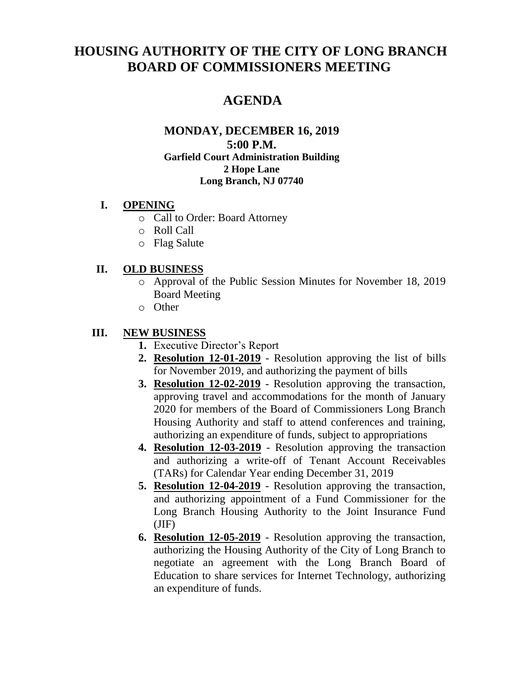# **HOUSING AUTHORITY OF THE CITY OF LONG BRANCH BOARD OF COMMISSIONERS MEETING**

# **AGENDA**

#### **MONDAY, DECEMBER 16, 2019 5:00 P.M. Garfield Court Administration Building 2 Hope Lane Long Branch, NJ 07740**

### **I. OPENING**

- o Call to Order: Board Attorney
- o Roll Call
- o Flag Salute

### **II. OLD BUSINESS**

- o Approval of the Public Session Minutes for November 18, 2019 Board Meeting
- o Other

## **III. NEW BUSINESS**

- **1.** Executive Director's Report
- **2. Resolution 12-01-2019** Resolution approving the list of bills for November 2019, and authorizing the payment of bills
- **3. Resolution 12-02-2019** Resolution approving the transaction, approving travel and accommodations for the month of January 2020 for members of the Board of Commissioners Long Branch Housing Authority and staff to attend conferences and training, authorizing an expenditure of funds, subject to appropriations
- **4. Resolution 12-03-2019** Resolution approving the transaction and authorizing a write-off of Tenant Account Receivables (TARs) for Calendar Year ending December 31, 2019
- **5. Resolution 12-04-2019** Resolution approving the transaction, and authorizing appointment of a Fund Commissioner for the Long Branch Housing Authority to the Joint Insurance Fund  $(JIF)$
- **6. Resolution 12-05-2019** Resolution approving the transaction, authorizing the Housing Authority of the City of Long Branch to negotiate an agreement with the Long Branch Board of Education to share services for Internet Technology, authorizing an expenditure of funds.